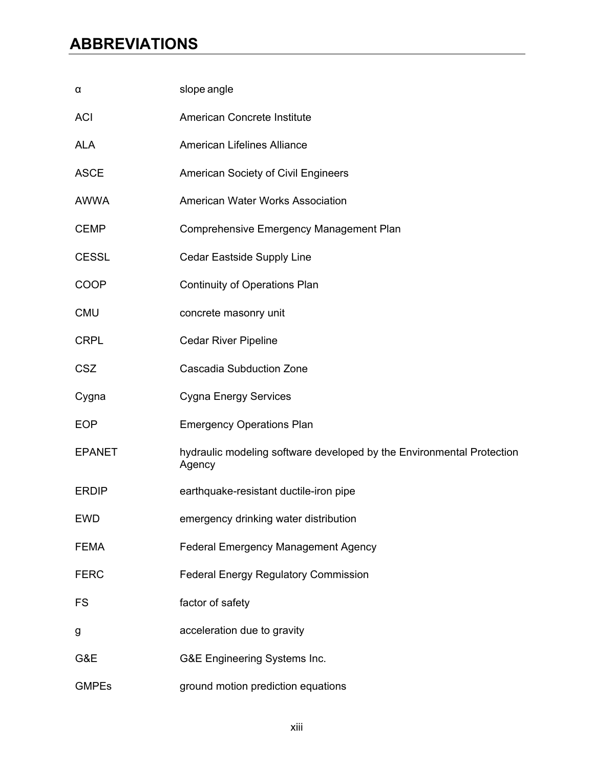## **ABBREVIATIONS**

| α             | slope angle                                                                     |
|---------------|---------------------------------------------------------------------------------|
| <b>ACI</b>    | American Concrete Institute                                                     |
| <b>ALA</b>    | American Lifelines Alliance                                                     |
| <b>ASCE</b>   | American Society of Civil Engineers                                             |
| <b>AWWA</b>   | American Water Works Association                                                |
| <b>CEMP</b>   | Comprehensive Emergency Management Plan                                         |
| <b>CESSL</b>  | Cedar Eastside Supply Line                                                      |
| <b>COOP</b>   | <b>Continuity of Operations Plan</b>                                            |
| <b>CMU</b>    | concrete masonry unit                                                           |
| <b>CRPL</b>   | <b>Cedar River Pipeline</b>                                                     |
| <b>CSZ</b>    | <b>Cascadia Subduction Zone</b>                                                 |
| Cygna         | <b>Cygna Energy Services</b>                                                    |
| <b>EOP</b>    | <b>Emergency Operations Plan</b>                                                |
| <b>EPANET</b> | hydraulic modeling software developed by the Environmental Protection<br>Agency |
| <b>ERDIP</b>  | earthquake-resistant ductile-iron pipe                                          |
| <b>EWD</b>    | emergency drinking water distribution                                           |
| <b>FEMA</b>   | Federal Emergency Management Agency                                             |
| <b>FERC</b>   | <b>Federal Energy Regulatory Commission</b>                                     |
| <b>FS</b>     | factor of safety                                                                |
| g             | acceleration due to gravity                                                     |
| G&E           | G&E Engineering Systems Inc.                                                    |
| <b>GMPEs</b>  | ground motion prediction equations                                              |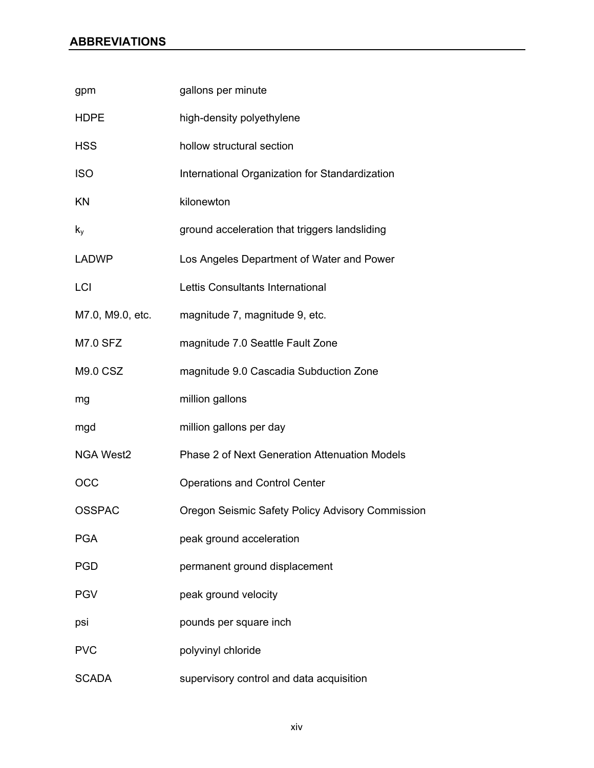## **ABBREVIATIONS**

| gpm              | gallons per minute                               |
|------------------|--------------------------------------------------|
| <b>HDPE</b>      | high-density polyethylene                        |
| <b>HSS</b>       | hollow structural section                        |
| <b>ISO</b>       | International Organization for Standardization   |
| KN               | kilonewton                                       |
| $k_{y}$          | ground acceleration that triggers landsliding    |
| <b>LADWP</b>     | Los Angeles Department of Water and Power        |
| LCI              | Lettis Consultants International                 |
| M7.0, M9.0, etc. | magnitude 7, magnitude 9, etc.                   |
| <b>M7.0 SFZ</b>  | magnitude 7.0 Seattle Fault Zone                 |
| <b>M9.0 CSZ</b>  | magnitude 9.0 Cascadia Subduction Zone           |
| mg               | million gallons                                  |
| mgd              | million gallons per day                          |
| <b>NGA West2</b> | Phase 2 of Next Generation Attenuation Models    |
| OCC              | <b>Operations and Control Center</b>             |
| <b>OSSPAC</b>    | Oregon Seismic Safety Policy Advisory Commission |
| <b>PGA</b>       | peak ground acceleration                         |
| PGD              | permanent ground displacement                    |
| <b>PGV</b>       | peak ground velocity                             |
| psi              | pounds per square inch                           |
| <b>PVC</b>       | polyvinyl chloride                               |
| <b>SCADA</b>     | supervisory control and data acquisition         |